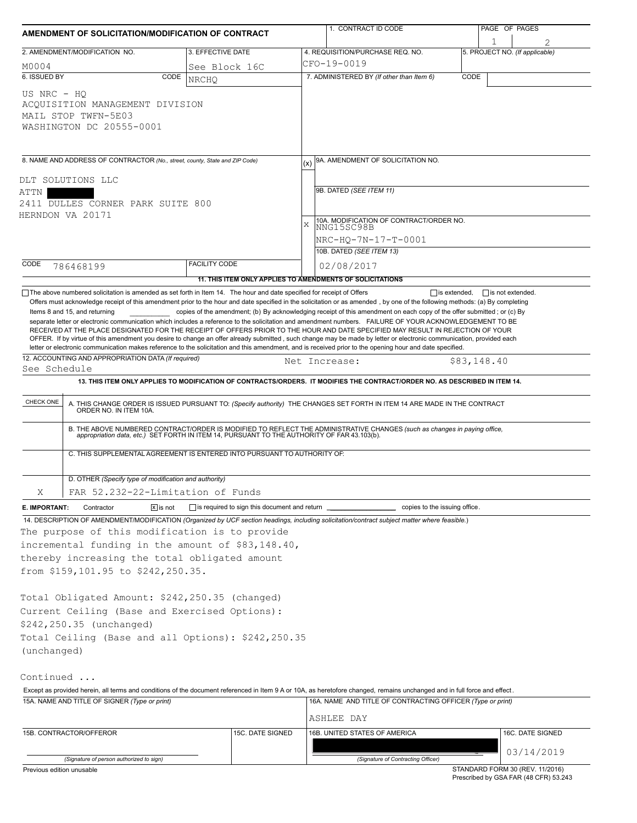| AMENDMENT OF SOLICITATION/MODIFICATION OF CONTRACT                                                                                                                |                                                                                                                                                                                                                                                                                                                                                                                                                                                          |                      |                                                     |   | 1. CONTRACT ID CODE                                                                                                                                                                                                                                                                                                                                                                                                                                                                                                                                                                                                                                                                                                                                                                                                                                                                                     |             | PAGE OF PAGES                  |  |  |  |  |  |
|-------------------------------------------------------------------------------------------------------------------------------------------------------------------|----------------------------------------------------------------------------------------------------------------------------------------------------------------------------------------------------------------------------------------------------------------------------------------------------------------------------------------------------------------------------------------------------------------------------------------------------------|----------------------|-----------------------------------------------------|---|---------------------------------------------------------------------------------------------------------------------------------------------------------------------------------------------------------------------------------------------------------------------------------------------------------------------------------------------------------------------------------------------------------------------------------------------------------------------------------------------------------------------------------------------------------------------------------------------------------------------------------------------------------------------------------------------------------------------------------------------------------------------------------------------------------------------------------------------------------------------------------------------------------|-------------|--------------------------------|--|--|--|--|--|
| 2. AMENDMENT/MODIFICATION NO.                                                                                                                                     |                                                                                                                                                                                                                                                                                                                                                                                                                                                          | 3. EFFECTIVE DATE    |                                                     |   | 4. REQUISITION/PURCHASE REQ. NO.                                                                                                                                                                                                                                                                                                                                                                                                                                                                                                                                                                                                                                                                                                                                                                                                                                                                        |             | 5. PROJECT NO. (If applicable) |  |  |  |  |  |
| M0004                                                                                                                                                             |                                                                                                                                                                                                                                                                                                                                                                                                                                                          | See Block 16C        |                                                     |   | CFO-19-0019                                                                                                                                                                                                                                                                                                                                                                                                                                                                                                                                                                                                                                                                                                                                                                                                                                                                                             |             |                                |  |  |  |  |  |
| 6. ISSUED BY                                                                                                                                                      | CODE                                                                                                                                                                                                                                                                                                                                                                                                                                                     | <b>NRCHO</b>         |                                                     |   | 7. ADMINISTERED BY (If other than Item 6)                                                                                                                                                                                                                                                                                                                                                                                                                                                                                                                                                                                                                                                                                                                                                                                                                                                               | CODE        |                                |  |  |  |  |  |
| US NRC - HO<br>MAIL STOP TWFN-5E03                                                                                                                                | ACOUISITION MANAGEMENT DIVISION<br>WASHINGTON DC 20555-0001                                                                                                                                                                                                                                                                                                                                                                                              |                      |                                                     |   |                                                                                                                                                                                                                                                                                                                                                                                                                                                                                                                                                                                                                                                                                                                                                                                                                                                                                                         |             |                                |  |  |  |  |  |
| 8. NAME AND ADDRESS OF CONTRACTOR (No., street, county, State and ZIP Code)<br>DLT SOLUTIONS LLC<br>ATTN<br>2411 DULLES CORNER PARK SUITE 800<br>HERNDON VA 20171 |                                                                                                                                                                                                                                                                                                                                                                                                                                                          |                      |                                                     |   | 9A. AMENDMENT OF SOLICITATION NO.<br>9B. DATED (SEE ITEM 11)                                                                                                                                                                                                                                                                                                                                                                                                                                                                                                                                                                                                                                                                                                                                                                                                                                            |             |                                |  |  |  |  |  |
|                                                                                                                                                                   |                                                                                                                                                                                                                                                                                                                                                                                                                                                          |                      |                                                     | X | 10A. MODIFICATION OF CONTRACT/ORDER NO.<br>NNG15SC98B<br>NRC-HO-7N-17-T-0001<br>10B. DATED (SEE ITEM 13)                                                                                                                                                                                                                                                                                                                                                                                                                                                                                                                                                                                                                                                                                                                                                                                                |             |                                |  |  |  |  |  |
| CODE<br>786468199                                                                                                                                                 |                                                                                                                                                                                                                                                                                                                                                                                                                                                          | <b>FACILITY CODE</b> |                                                     |   | 02/08/2017                                                                                                                                                                                                                                                                                                                                                                                                                                                                                                                                                                                                                                                                                                                                                                                                                                                                                              |             |                                |  |  |  |  |  |
|                                                                                                                                                                   |                                                                                                                                                                                                                                                                                                                                                                                                                                                          |                      |                                                     |   | 11. THIS ITEM ONLY APPLIES TO AMENDMENTS OF SOLICITATIONS                                                                                                                                                                                                                                                                                                                                                                                                                                                                                                                                                                                                                                                                                                                                                                                                                                               |             |                                |  |  |  |  |  |
| Items 8 and 15, and returning<br>See Schedule                                                                                                                     | 12. ACCOUNTING AND APPROPRIATION DATA (If required)                                                                                                                                                                                                                                                                                                                                                                                                      |                      |                                                     |   | copies of the amendment; (b) By acknowledging receipt of this amendment on each copy of the offer submitted; or (c) By<br>separate letter or electronic communication which includes a reference to the solicitation and amendment numbers. FAILURE OF YOUR ACKNOWLEDGEMENT TO BE<br>RECEIVED AT THE PLACE DESIGNATED FOR THE RECEIPT OF OFFERS PRIOR TO THE HOUR AND DATE SPECIFIED MAY RESULT IN REJECTION OF YOUR<br>OFFER. If by virtue of this amendment you desire to change an offer already submitted, such change may be made by letter or electronic communication, provided each<br>letter or electronic communication makes reference to the solicitation and this amendment, and is received prior to the opening hour and date specified.<br>Net Increase:<br>13. THIS ITEM ONLY APPLIES TO MODIFICATION OF CONTRACTS/ORDERS. IT MODIFIES THE CONTRACT/ORDER NO. AS DESCRIBED IN ITEM 14. | \$83,148.40 |                                |  |  |  |  |  |
| CHECK ONE                                                                                                                                                         | A. THIS CHANGE ORDER IS ISSUED PURSUANT TO: (Specify authority) THE CHANGES SET FORTH IN ITEM 14 ARE MADE IN THE CONTRACT ORDER NO. IN ITEM 10A.<br>B. THE ABOVE NUMBERED CONTRACT/ORDER IS MODIFIED TO REFLECT THE ADMINISTRATIVE CHANGES (such as changes in paying office,<br>appropriation data, etc.) SET FORTH IN ITEM 14, PURSUANT TO THE AUTHORITY OF FAR 43.103(b).<br>C. THIS SUPPLEMENTAL AGREEMENT IS ENTERED INTO PURSUANT TO AUTHORITY OF: |                      |                                                     |   |                                                                                                                                                                                                                                                                                                                                                                                                                                                                                                                                                                                                                                                                                                                                                                                                                                                                                                         |             |                                |  |  |  |  |  |
|                                                                                                                                                                   | D. OTHER (Specify type of modification and authority)                                                                                                                                                                                                                                                                                                                                                                                                    |                      |                                                     |   |                                                                                                                                                                                                                                                                                                                                                                                                                                                                                                                                                                                                                                                                                                                                                                                                                                                                                                         |             |                                |  |  |  |  |  |
| Χ                                                                                                                                                                 | FAR 52.232-22-Limitation of Funds                                                                                                                                                                                                                                                                                                                                                                                                                        |                      |                                                     |   |                                                                                                                                                                                                                                                                                                                                                                                                                                                                                                                                                                                                                                                                                                                                                                                                                                                                                                         |             |                                |  |  |  |  |  |
| E. IMPORTANT:                                                                                                                                                     | $\sqrt{x}$ is not<br>Contractor<br>The purpose of this modification is to provide<br>incremental funding in the amount of \$83,148.40,<br>thereby increasing the total obligated amount<br>from \$159,101.95 to \$242,250.35.                                                                                                                                                                                                                            |                      | is required to sign this document and return ______ |   | copies to the issuing office.<br>14. DESCRIPTION OF AMENDMENT/MODIFICATION (Organized by UCF section headings, including solicitation/contract subject matter where feasible.)                                                                                                                                                                                                                                                                                                                                                                                                                                                                                                                                                                                                                                                                                                                          |             |                                |  |  |  |  |  |
| (unchanged)                                                                                                                                                       | Total Obligated Amount: \$242,250.35 (changed)<br>Current Ceiling (Base and Exercised Options):<br>\$242,250.35 (unchanged)<br>Total Ceiling (Base and all Options): \$242,250.35                                                                                                                                                                                                                                                                        |                      |                                                     |   |                                                                                                                                                                                                                                                                                                                                                                                                                                                                                                                                                                                                                                                                                                                                                                                                                                                                                                         |             |                                |  |  |  |  |  |
| Continued                                                                                                                                                         | 15A. NAME AND TITLE OF SIGNER (Type or print)                                                                                                                                                                                                                                                                                                                                                                                                            |                      |                                                     |   | Except as provided herein, all terms and conditions of the document referenced in Item 9 A or 10A, as heretofore changed, remains unchanged and in full force and effect.<br>16A. NAME AND TITLE OF CONTRACTING OFFICER (Type or print)<br>ASHLEE DAY                                                                                                                                                                                                                                                                                                                                                                                                                                                                                                                                                                                                                                                   |             |                                |  |  |  |  |  |
| 15B. CONTRACTOR/OFFEROR                                                                                                                                           |                                                                                                                                                                                                                                                                                                                                                                                                                                                          |                      | 15C. DATE SIGNED                                    |   | 16B. UNITED STATES OF AMERICA                                                                                                                                                                                                                                                                                                                                                                                                                                                                                                                                                                                                                                                                                                                                                                                                                                                                           |             | 16C. DATE SIGNED               |  |  |  |  |  |
|                                                                                                                                                                   | (Signature of person authorized to sign)                                                                                                                                                                                                                                                                                                                                                                                                                 |                      |                                                     |   | (Signature of Contracting Officer)                                                                                                                                                                                                                                                                                                                                                                                                                                                                                                                                                                                                                                                                                                                                                                                                                                                                      |             | 03/14/2019                     |  |  |  |  |  |

Previous edition unusable

STANDARD FORM 30 (REV. 11/2016) Prescribed by GSA FAR (48 CFR) 53.243